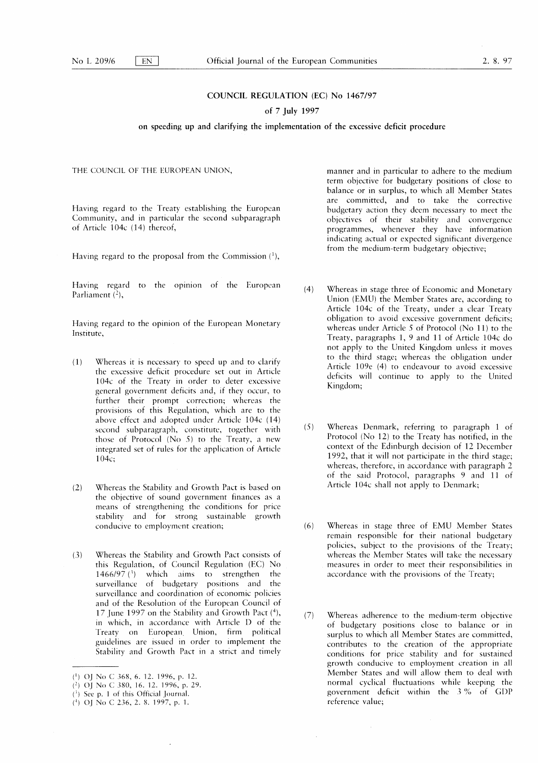# COUNCIL REGULATION (EC) No 1467/97

# of 7 July 1997

on speeding up and clarifying the implementation of the excessive deficit procedure

Having regard to the Treaty establishing the European Community, and in particular the second subparagraph of Article 104c (14) thereof,

Having regard to the proposal from the Commission  $(1)$ ,

Having regard to the opinion of the European Parliament  $(2)$ ,

Having regard to the opinion of the European Monetary Institute,

- $(1)$  Whereas it is necessary to speed up and to clarify the excessive deficit procedure set out in Article 104c of the Treaty in order to deter excessive general government deficits and, if they occur, to further their prompt correction; whereas the provisions of this Regulation, which are to the above effect and adopted under Article 104c (14) second subparagraph, constitute, together with those of Protocol ( $No 5$ ) to the Treaty, a new integrated set of rules for the application of Article  $104c$ :
- (2) Whereas the Stability and Growth Pact is based on the objective of sound government finances as a means of strengthening the conditions for price stability and for strong sustainable growth conducive to employment creation;
- (3) Whereas the Stability and Growth Pact consists of this Regulation, of Council Regulation (EC) No 1466/97 $(3)$  which aims to strengthen the surveillance of budgetary positions and the surveillance and coordination of economic policies and of the Resolution of the European Council of 17 June 1997 on the Stability and Growth Pact  $(4)$ , in which, in accordance with Article D of the Treaty on European Union, firm political guidelines are issued in order to implement the Stability and Growth Pact in a strict and timely

THE COUNCIL OF THE EUROPEAN UNION, The manner and in particular to adhere to the medium term objective for budgetary positions of close to balance or in surplus, to which all Member States are committed, and to take the corrective budgetary action they deem necessary to meet the objectives of their stability and convergence programmes, whenever they have information indicating actual or expected significant divergence from the medium-term budgetary objective;

- (4) Whereas in stage three of Economic and Monetary Union (EMU) the Member States are, according to Article 104c of the Treaty, under a clear Treaty obligation to avoid excessive government deficits; whereas under Article 5 of Protocol (No 11) to the Treaty, paragraphs 1, 9 and 11 of Article 104c do not apply to the United Kingdom unless it moves to the third stage; whereas the obligation under Article 109e (4) to endeavour to avoid excessive deficits will continue to apply to the United Kingdom;
- $(5)$  Whereas Denmark, referring to paragraph 1 of Protocol (No 12) to the Treaty has notified, in the context of the Edinburgh decision of 12 December 1992, that it will not participate in the third stage; whereas, therefore, in accordance with paragraph 2 of the said Protocol, paragraphs 9 and 11 of Article 104c shall not apply to Denmark;
- (6) Whereas in stage three of EMU Member States remain responsible for their national budgetary policies, subject to the provisions of the Treaty; whereas the Member States will take the necessary measures in order to meet their responsibilities in accordance with the provisions of the Treaty;
- (7) Whereas adherence to the medium-term objective of budgetary positions close to balance or in surplus to which all Member States are committed, contributes to the creation of the appropriate conditions for price stability and for sustained growth conducive to employment creation in all Member States and will allow them to deal with normal cyclical fluctuations while keeping the government deficit within the 3 % of GDP reference value;

<sup>(1)</sup> OJ No C 368, 6. 12. 1996, p. 12.

 $(2)$  OJ No C 380, 16. 12. 1996, p. 29.

 $(3)$  See p. 1 of this Official Journal.

<sup>(4)</sup> OJ No C 236, 2. 8. 1997, p. 1.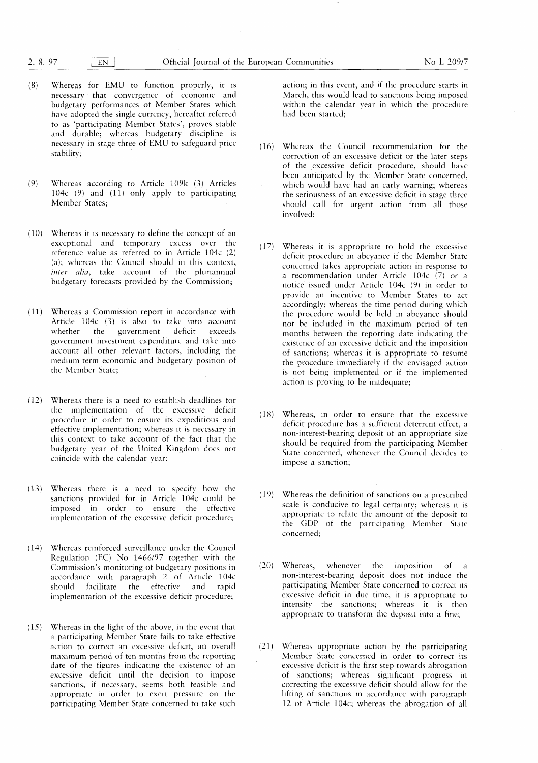- $(8)$  Whereas for EMU to function properly, it is necessary that convergence of economic and budgetary performances of Member States which have adopted the single currency, hereafter referred to as 'participating Member States', proves stable and durable; whereas budgetary discipline is necessary in stage three of EMU to safeguard price stability;
- $(9)$  Whereas according to Article 109 $k(3)$  Articles 104c  $(9)$  and  $(11)$  only apply to participating Member States;
- $(10)$  . Whereas it is necessary to define the concept of an exceptional and temporary excess over the reference value as referred to in Article  $104c$  (2) (a); whereas the Council should in this context, inter alia, take account of the pluriannual budgetary forecasts provided by the Commission;
- ( 11 ) Whereas a Commission report in accordance with Article  $104c$  (3) is also to take into account whether the government deficit exceeds government investment expenditure and take into account all other relevant factors, including the medium-term economic and budgetary position of the Member State;
- $(12)$  Whereas there is a need to establish deadlines for the implementation of the excessive deficit procedure in order to ensure its expeditious and effective implementation; whereas it is necessary in this context to take account of the fact that the budgetary year of the United Kingdom does not coincide with the calendar year;
- (13) Whereas there is a need to specify how the sanctions provided for in Article 104c could be imposed in order to ensure the effective implementation of the excessive deficit procedure;
- (14) Whereas reinforced surveillance under the Council Regulation (EC) No 1466/97 together with the Commission 's monitoring of budgetary positions in accordance with paragraph 2 of Article 104c should facilitate the effective and rapid implementation of the excessive deficit procedure;
- $(15)$  Whereas in the light of the above, in the event that a participating Member State fails to take effective action to correct an excessive deficit, an overall maximum period of ten months from the reporting date of the figures indicating the existence of an excessive deficit until the decision to impose sanctions, if necessary, seems both feasible and appropriate in order to exert pressure on the participating Member State concerned to take such

action; in this event, and if the procedure starts in March, this would lead to sanctions being imposed within the calendar year in which the procedure had been started:

- ( 16 ) Whereas the Council recommendation for the correction of an excessive deficit or the later steps of the excessive deficit procedure, should have been anticipated by the Member State concerned, which would have had an early warning; whereas the seriousness of an excessive deficit in stage three should call for urgent action from all those involved:
- ( 17) Whereas it is appropriate to hold the excessive deficit procedure in abeyance if the Member State concerned takes appropriate action in response to a recommendation under Article  $104c$  (7) or a notice issued under Article 104c (9) in order to provide an incentive to Member States to act accordingly; whereas the time period during which the procedure would be held in abeyance should not be included in the maximum period of ten months between the reporting date indicating the existence of an excessive deficit and the imposition of sanctions; whereas it is appropriate to resume the procedure immediately if the envisaged action is not being implemented or if the implemented action is proving to be inadequate;
- (18) Whereas, in order to ensure that the excessive deficit procedure has a sufficient deterrent effect, a non-interest-bearing deposit of an appropriate size should be required from the participating Member State concerned, whenever the Council decides to impose a sanction;
- (19) Whereas the definition of sanctions on a prescribed scale is conducive to legal certainty; whereas it is appropriate to relate the amount of the deposit to the GDP of the participating Member State concerned;
- $(20)$  Whereas, whenever the imposition of a non-interest-bearing deposit does not induce the participating Member State concerned to correct its excessive deficit in due time, it is appropriate to intensify the sanctions; whereas it is then appropriate to transform the deposit into a fine;
- $(21)$  Whereas appropriate action by the participating Member State concerned in order to correct its excessive deficit is the first step towards abrogation of sanctions; whereas significant progress in correcting the excessive deficit should allow for the lifting of sanctions in accordance with paragraph 12 of Article 104c; whereas the abrogation of all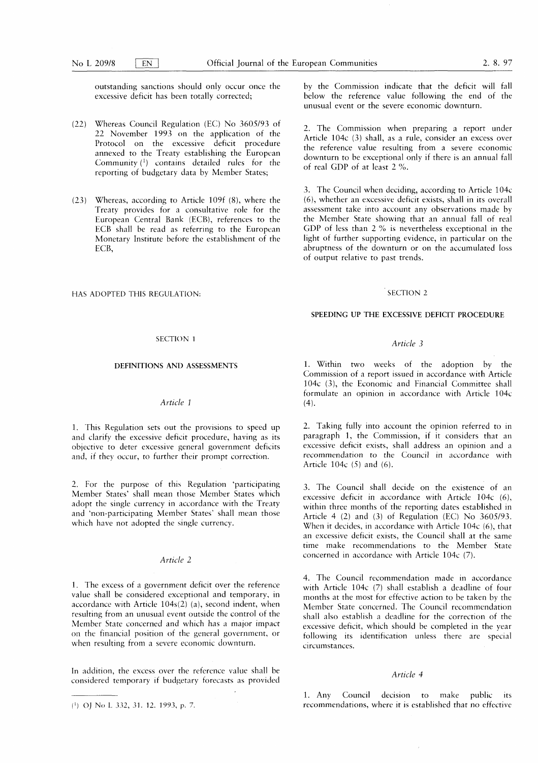outstanding sanctions should only occur once the excessive deficit has been totally corrected;

- (22) Whereas Council Regulation (EC) No 3605/93 of 22 November 1993 on the application of the Protocol on the excessive deficit procedure annexed to the Treaty establishing the European Community  $(1)$  contains detailed rules for the reporting of budgetary data by Member States;
- (23) Whereas, according to Article 109f (8), where the Treaty provides for a consultative role for the European Central Bank (ECB), references to the ECB shall be read as referring to the European Monetary Institute before the establishment of the ECB,

# HAS ADOPTED THIS REGULATION: SECTION 2

## SECTION <sup>1</sup>

# DEFINITIONS AND ASSESSMENTS

# Article <sup>1</sup>

1. This Regulation sets out the provisions to speed up and clarify the excessive deficit procedure, having as its objective to deter excessive general government deficits and, if they occur, to further their prompt correction.

2 . For the purpose of this Regulation 'participating Member States' shall mean those Member States which adopt the single currency in accordance with the Treaty and 'non-participating Member States' shall mean those which have not adopted the single currency.

# Article 2

1. The excess of a government deficit over the reference value shall be considered exceptional and temporary, in accordance with Article  $104s(2)$  (a), second indent, when resulting from an unusual event outside the control of the Member State concerned and which has a major impact on the financial position of the general government, or when resulting from a severe economic downturn.

In addition, the excess over the reference value shall be considered temporary if budgetary forecasts as provided

(>) OJ No L 332 , 31 . 12 . 1993, p. 7.

by the Commission indicate that the deficit will fall below the reference value following the end of the unusual event or the severe economic downturn.

2. The Commission when preparing a report under Article 104c (3) shall, as a rule, consider an excess over the reference value resulting from a severe economic downturn to be exceptional only if there is an annual fall of real GDP of at least 2 % .

3. The Council when deciding, according to Article 104c (6), whether an excessive deficit exists, shall in its overall assessment take into account any observations made by the Member State showing that an annual fall of real GDP of less than 2 % is nevertheless exceptional in the light of further supporting evidence, in particular on the abruptness of the downturn or on the accumulated loss of output relative to past trends.

## SPEEDING UP THE EXCESSIVE DEFICIT PROCEDURE

# Article 3

<sup>1</sup> . Within two weeks of the adoption by the Commission of a report issued in accordance with Article 104 $c$  (3), the Economic and Financial Committee shall formulate an opinion in accordance with Article 104c  $(4)$ .

2. Taking fully into account the opinion referred to in paragraph 1, the Commission, if it considers that an excessive deficit exists, shall address an opinion and a recommendation to the Council in accordance with Article 104 $c$  (5) and (6).

3 . The Council shall decide on the existence of an excessive deficit in accordance with Article  $104c$  (6), within three months of the reporting dates established in Article 4 (2) and (3) of Regulation (EC) No  $3605/93$ . When it decides, in accordance with Article  $104c$  (6), that an excessive deficit exists, the Council shall at the same time make recommendations to the Member State concerned in accordance with Article 104c (7).

4 . The Council recommendation made in accordance with Article  $104c$  (7) shall establish a deadline of four months at the most for effective action to be taken by the Member State concerned. The Council recommendation shall also establish a deadline for the correction of the excessive deficit, which should be completed in the year following its identification unless there are special circumstances.

## Article 4

<sup>1</sup> . Any Council decision to make public its recommendations, where it is established that no effective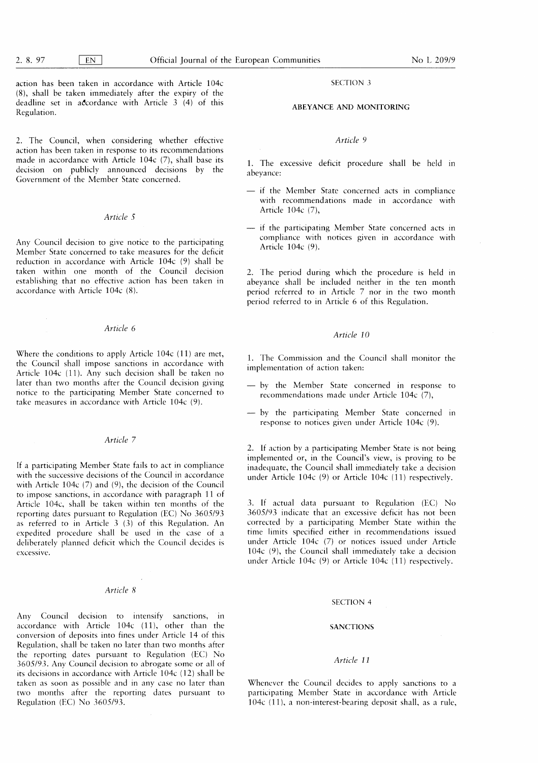$\mathcal{A}$ 

action has been taken in accordance with Article 104c  $(8)$ , shall be taken immediately after the expiry of the deadline set in accordance with Article  $3(4)$  of this Regulation.

2. The Council, when considering whether effective action has been taken in response to its recommendations made in accordance with Article  $104c$  (7), shall base its decision on publicly announced decisions by the Government of the Member State concerned.

# Article 5

Any Council decision to give notice to the participating Member State concerned to take measures for the deficit reduction in accordance with Article 104c (9) shall be taken within one month of the Council decision establishing that no effective action has been taken in accordance with Article 104c (8).

# Article 6

Where the conditions to apply Article 104c (11) are met, the Council shall impose sanctions in accordance with Article 104c (11). Any such decision shall be taken no later than two months after the Council decision giving notice to the participating Member State concerned to take measures in accordance with Article 104c (9).

## Article 7

If a participating Member State fails to act in compliance with the successive decisions of the Council in accordance with Article 104c  $(7)$  and  $(9)$ , the decision of the Council to impose sanctions, in accordance with paragraph 11 of Article 104c, shall be taken within ten months of the reporting dates pursuant to Regulation (EC) No 3605/93 as referred to in Article  $3$  (3) of this Regulation. An expedited procedure shall be used in the case of a deliberately planned deficit which the Council decides is excessive.

## Article 8

Any Council decision to intensify sanctions, in accordance with Article 104c (11), other than the conversion of deposits into fines under Article 14 of this Regulation, shall be taken no later than two months after the reporting dates pursuant to Regulation (EC) No 3605/93 . Any Council decision to abrogate some or all of its decisions in accordance with Article 104c (12) shall be taken as soon as possible and in any case no later than two months after the reporting dates pursuant to Regulation (EC) No 3605/93.

# SECTION 3

# ABEYANCE AND MONITORING

## Article 9

<sup>1</sup> . The excessive deficit procedure shall be held in abevance:

- if the Member State concerned acts in compliance with recommendations made in accordance with Article 104c (7),
- if the participating Member State concerned acts in compliance with notices given in accordance with Article 104c (9).

2. The period during which the procedure is held in abeyance shall be included neither in the ten month period referred to in Article 7 nor in the two month period referred to in Article 6 of this Regulation.

# Article 10

1. The Commission and the Council shall monitor the implementation of action taken:

- by the Member State concerned in response to recommendations made under Article 104c (7),
- by the participating Member State concerned in response to notices given under Article 104c (9).

2. If action by a participating Member State is not being implemented or, in the Council's view, is proving to be inadequate, the Council shall immediately take a decision under Article 104c  $(9)$  or Article 104c  $(11)$  respectively.

3. If actual data pursuant to Regulation (EC) No 3605/93 indicate that an excessive deficit has not been corrected by a participating Member State within the time limits specified either in recommendations issued under Article 104c (7) or notices issued under Article 104 $c$  (9), the Council shall immediately take a decision under Article 104c (9) or Article 104c (11) respectively.

#### SECTION 4

## **SANCTIONS**

# Article 11

Whenever the Council decides to apply sanctions to a participating Member State in accordance with Article  $104c$  (11), a non-interest-bearing deposit shall, as a rule,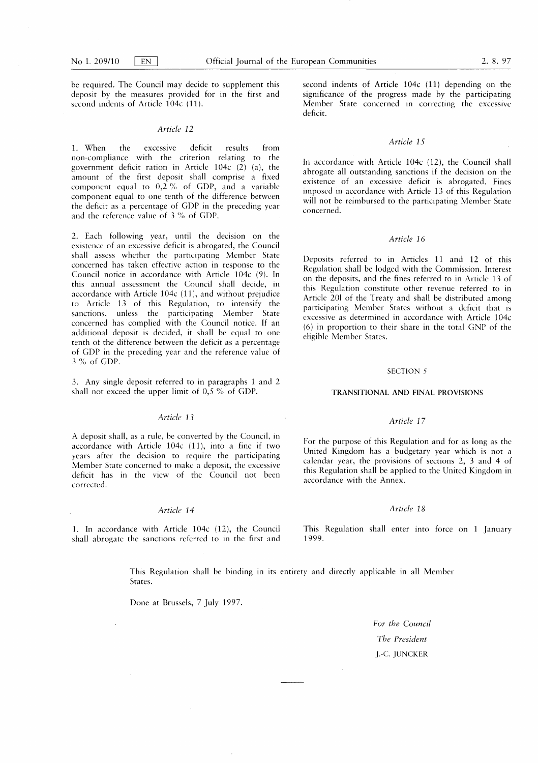be required. The Council may decide to supplement this deposit by the measures provided for in the first and second indents of Article 104c (11).

## Article 12

<sup>1</sup> . When the excessive deficit results from non-compliance with the criterion relating to the government deficit ration in Article  $104c$  (2) (a), the amount of the first deposit shall comprise a fixed component equal to  $0,2\%$  of GDP, and a variable component equal to one tenth of the difference between the deficit as a percentage of GDP in the preceding year and the reference value of 3 % of GDP.

2. Each following year, until the decision on the existence of an excessive deficit is abrogated, the Council shall assess whether the participating Member State concerned has taken effective action in response to the Council notice in accordance with Article 104c (9). In this annual assessment the Council shall decide, in accordance with Article 104c (11), and without prejudice to Article 13 of this Regulation, to intensify the sanctions, unless the participating Member State concerned has complied with the Council notice . If an additional deposit is decided, it shall be equal to one tenth of the difference between the deficit as a percentage of GDP in the preceding year and the reference value of 3 % of GDP.

3 . Any single deposit referred to in paragraphs <sup>1</sup> and 2 shall not exceed the upper limit of 0,5 % of GDP.

# Article 13

A deposit shall, as a rule, be converted by the Council, in accordance with Article 104c (11), into a fine if two years after the decision to require the participating Member State concerned to make a deposit, the excessive deficit has in the view of the Council not been corrected.

# Article 14

1. In accordance with Article  $104c$  (12), the Council shall abrogate the sanctions referred to in the first and second indents of Article 104c (11) depending on the significance of the progress made by the participating Member State concerned in correcting the excessive deficit.

# Article 15

In accordance with Article 104c (12), the Council shall abrogate all outstanding sanctions if the decision on the existence of an excessive deficit is abrogated. Fines imposed in accordance with Article 13 of this Regulation will not be reimbursed to the participating Member State concerned.

## Article 16

Deposits referred to in Articles 11 and 12 of this Regulation shall be lodged with the Commission. Interest on the deposits, and the fines referred to in Article 13 of this Regulation constitute other revenue referred to in Article 201 of the Treaty and shall be distributed among participating Member States without a deficit that is excessive as determined in accordance with Article 104c (6) in proportion to their share in the total GNP of the eligible Member States.

#### SECTION 5

#### TRANSITIONAL AND FINAL PROVISIONS

# Article 17

For the purpose of this Regulation and for as long as the United Kingdom has a budgetary year which is not a calendar year, the provisions of sections  $2$ ,  $3$  and  $4$  of this Regulation shall be applied to the United Kingdom in accordance with the Annex.

# Article 18

This Regulation shall enter into force on <sup>1</sup> January 1999 .

This Regulation shall be binding in its entirety and directly applicable in all Member States.

Done at Brussels, 7 July 1997.

For the Council The President I.-C. JUNCKER